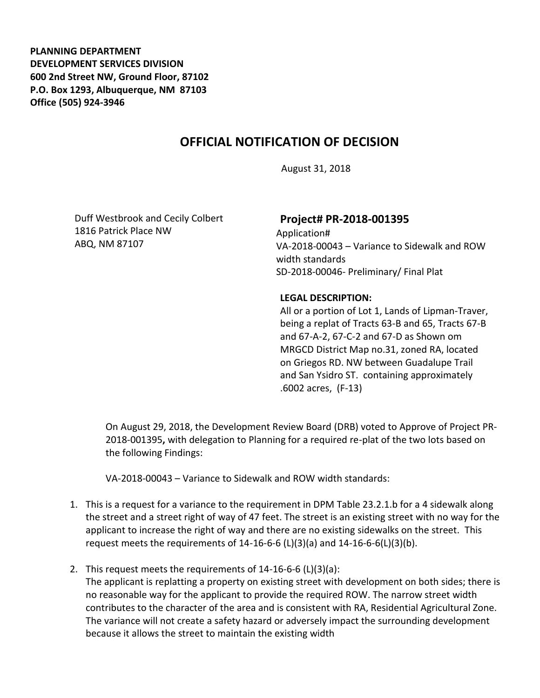**PLANNING DEPARTMENT DEVELOPMENT SERVICES DIVISION 600 2nd Street NW, Ground Floor, 87102 P.O. Box 1293, Albuquerque, NM 87103 Office (505) 924-3946** 

## **OFFICIAL NOTIFICATION OF DECISION**

August 31, 2018

Duff Westbrook and Cecily Colbert 1816 Patrick Place NW ABQ, NM 87107

## **Project# PR-2018-001395**

Application# VA-2018-00043 – Variance to Sidewalk and ROW width standards SD-2018-00046- Preliminary/ Final Plat

## **LEGAL DESCRIPTION:**

All or a portion of Lot 1, Lands of Lipman-Traver, being a replat of Tracts 63-B and 65, Tracts 67-B and 67-A-2, 67-C-2 and 67-D as Shown om MRGCD District Map no.31, zoned RA, located on Griegos RD. NW between Guadalupe Trail and San Ysidro ST. containing approximately .6002 acres, (F-13)

On August 29, 2018, the Development Review Board (DRB) voted to Approve of Project PR-2018-001395**,** with delegation to Planning for a required re-plat of the two lots based on the following Findings:

VA-2018-00043 – Variance to Sidewalk and ROW width standards:

- 1. This is a request for a variance to the requirement in DPM Table 23.2.1.b for a 4 sidewalk along the street and a street right of way of 47 feet. The street is an existing street with no way for the applicant to increase the right of way and there are no existing sidewalks on the street. This request meets the requirements of  $14-16-6-6$  (L)(3)(a) and  $14-16-6-6$ (L)(3)(b).
- 2. This request meets the requirements of 14-16-6-6 (L)(3)(a):

The applicant is replatting a property on existing street with development on both sides; there is no reasonable way for the applicant to provide the required ROW. The narrow street width contributes to the character of the area and is consistent with RA, Residential Agricultural Zone. The variance will not create a safety hazard or adversely impact the surrounding development because it allows the street to maintain the existing width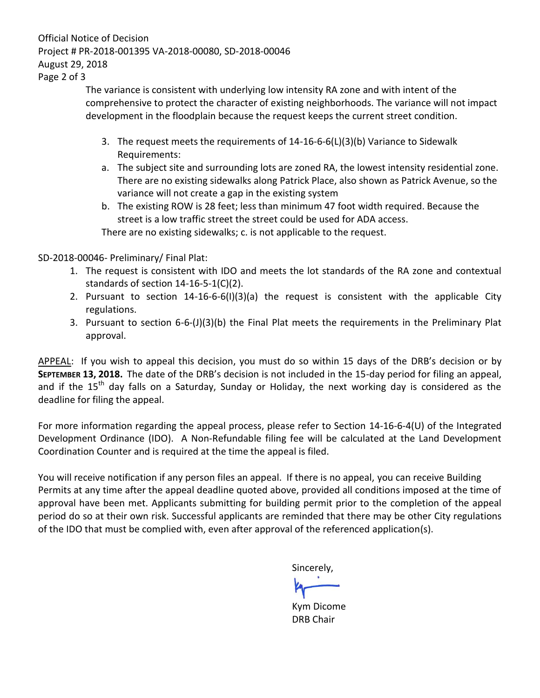Official Notice of Decision Project # PR-2018-001395 VA-2018-00080, SD-2018-00046 August 29, 2018

Page 2 of 3

The variance is consistent with underlying low intensity RA zone and with intent of the comprehensive to protect the character of existing neighborhoods. The variance will not impact development in the floodplain because the request keeps the current street condition.

- 3. The request meets the requirements of 14-16-6-6(L)(3)(b) Variance to Sidewalk Requirements:
- a. The subject site and surrounding lots are zoned RA, the lowest intensity residential zone. There are no existing sidewalks along Patrick Place, also shown as Patrick Avenue, so the variance will not create a gap in the existing system
- b. The existing ROW is 28 feet; less than minimum 47 foot width required. Because the street is a low traffic street the street could be used for ADA access.

There are no existing sidewalks; c. is not applicable to the request.

SD-2018-00046- Preliminary/ Final Plat:

- 1. The request is consistent with IDO and meets the lot standards of the RA zone and contextual standards of section 14-16-5-1(C)(2).
- 2. Pursuant to section 14-16-6-6(I)(3)(a) the request is consistent with the applicable City regulations.
- 3. Pursuant to section 6-6-(J)(3)(b) the Final Plat meets the requirements in the Preliminary Plat approval.

APPEAL: If you wish to appeal this decision, you must do so within 15 days of the DRB's decision or by **SEPTEMBER 13, 2018.** The date of the DRB's decision is not included in the 15-day period for filing an appeal, and if the 15<sup>th</sup> day falls on a Saturday, Sunday or Holiday, the next working day is considered as the deadline for filing the appeal.

For more information regarding the appeal process, please refer to Section 14-16-6-4(U) of the Integrated Development Ordinance (IDO). A Non-Refundable filing fee will be calculated at the Land Development Coordination Counter and is required at the time the appeal is filed.

You will receive notification if any person files an appeal. If there is no appeal, you can receive Building Permits at any time after the appeal deadline quoted above, provided all conditions imposed at the time of approval have been met. Applicants submitting for building permit prior to the completion of the appeal period do so at their own risk. Successful applicants are reminded that there may be other City regulations of the IDO that must be complied with, even after approval of the referenced application(s).

Sincerely,

Kym Dicome DRB Chair